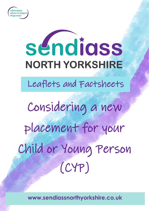

# séndiass **NORTH YORKSHIRE**

Leaflets and Factsheets

Considering a new placement for your Child or Young Person (CYP)

**www.sendiassnorthyorkshire.co.uk**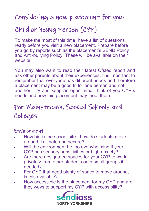### Considering a new placement for your

# Child or Young Person (CYP)

To make the most of this time, have a list of questions ready before you visit a new placement. Prepare before you go by reports such as the placement's SEND Policy and Anti-bullying Policy. These will be available on their website.

You may also want to read their latest Ofsted report and ask other parents about their experiences. It is important to remember that everyone has different needs and therefore a placement may be a good fit for one person and not another. Try and keep an open mind, think of you CYP's needs and how this placement may meet them.

## For Mainstream, Special Schools and Colleges

#### Environment

- How big is the school site how do students move around, is it safe and secure?
- Will the environment be too overwhelming if your CYP has sensory sensitivities or high anxiety?
- Are there designated spaces for your CYP to work privately from other students or in small groups if needed?
- For CYP that need plenty of space to move around, is this available?
- How accessible is the placement for my CYP and are they ways to support my CYP with accessibility?

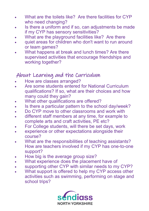- What are the toilets like? Are there facilities for CYP who need changing?
- Is there a uniform and if so, can adjustments be made if my CYP has sensory sensitivities?
- What are the playground facilities like? Are there
- quiet areas for children who don't want to run around or team games?
- What happens at break and lunch times? Are there supervised activities that encourage friendships and working together?

#### About Learning and the Curriculum

- How are classes arranged?
- Are some students entered for National Curriculum qualifications? If so, what are their choices and how many could they gain?
- What other qualifications are offered?
- Is there a particular pattern to the school day/week?
- Do CYP move to other classrooms and work with
- different staff members at any time, for example to complete arts and craft activities, PE etc?
- For College students, will there be set days, work
- experience or other expectations alongside their course?
- What are the responsibilities of teaching assistants? How are teachers involved if my CYP has one-to-one support?
- How big is the average group size?
- What experience does the placement have of
- supporting other CYP with similar needs to my CYP?
- What support is offered to help my CYP access other activities such as swimming, performing on stage and school trips?

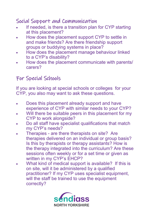#### Social Support and Communication

- If needed, is there a transition plan for CYP starting at this placement?
- How does the placement support CYP to settle in and make friends? Are there friendship support groups or buddying systems in place?
- How does the placement manage behaviour linked to a CYP's disability?
- How does the placement communicate with parents/ carers?

#### For Special Schools

If you are looking at special schools or colleges for your CYP, you also may want to ask these questions.

- Does this placement already support and have experience of CYP with similar needs to your CYP?
- Will there be suitable peers in this placement for my CYP to work alongside?
- Do all staff have specialist qualifications that match my CYP's needs?
- Therapies are there therapists on site? Are therapies delivered on an individual or group basis? Is this by therapists or therapy assistants? How is the therapy integrated into the curriculum? Are these sessions often weekly or for a set time or given as written in my CYP's EHCP?
- What kind of medical support is available? If this is on site, will it be administered by a qualified practitioner? If my CYP uses specialist equipment, will the staff be trained to use the equipment correctly?

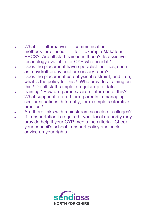- What alternative communication methods are used, for example Makaton/ PECS? Are all staff trained in these? Is assistive technology available for CYP who need it?
- Does the placement have specialist facilities, such as a hydrotherapy pool or sensory room?
- Does the placement use physical restraint, and if so, what is the policy for this? Who provides training on this? Do all staff complete regular up to date
- training? How are parents/carers informed of this? What support if offered form parents in managing similar situations differently, for example restorative practice?
- Are there links with mainstream schools or colleges?
- If transportation is required , your local authority may provide help if your CYP meets the criteria. Check your council's school transport policy and seek advice on your rights.